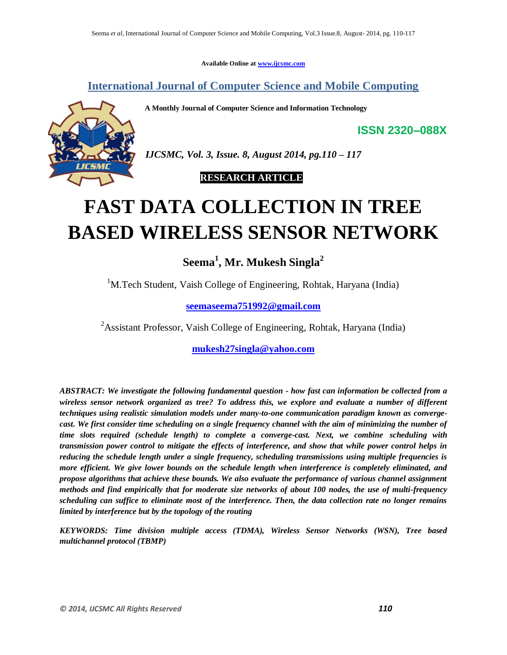**Available Online at www.ijcsmc.com**

**International Journal of Computer Science and Mobile Computing**

**A Monthly Journal of Computer Science and Information Technology**



*IJCSMC, Vol. 3, Issue. 8, August 2014, pg.110 – 117*

 **RESEARCH ARTICLE**

# **FAST DATA COLLECTION IN TREE BASED WIRELESS SENSOR NETWORK**

**Seema<sup>1</sup> , Mr. Mukesh Singla<sup>2</sup>**

<sup>1</sup>M.Tech Student, Vaish College of Engineering, Rohtak, Haryana (India)

**seemaseema751992@gmail.com**

<sup>2</sup>Assistant Professor, Vaish College of Engineering, Rohtak, Haryana (India)

**mukesh27singla@yahoo.com**

*ABSTRACT: We investigate the following fundamental question - how fast can information be collected from a wireless sensor network organized as tree? To address this, we explore and evaluate a number of different techniques using realistic simulation models under many-to-one communication paradigm known as convergecast. We first consider time scheduling on a single frequency channel with the aim of minimizing the number of time slots required (schedule length) to complete a converge-cast. Next, we combine scheduling with transmission power control to mitigate the effects of interference, and show that while power control helps in reducing the schedule length under a single frequency, scheduling transmissions using multiple frequencies is more efficient. We give lower bounds on the schedule length when interference is completely eliminated, and propose algorithms that achieve these bounds. We also evaluate the performance of various channel assignment methods and find empirically that for moderate size networks of about 100 nodes, the use of multi-frequency scheduling can suffice to eliminate most of the interference. Then, the data collection rate no longer remains limited by interference but by the topology of the routing*

*KEYWORDS: Time division multiple access (TDMA), Wireless Sensor Networks (WSN), Tree based multichannel protocol (TBMP)*

**ISSN 2320–088X**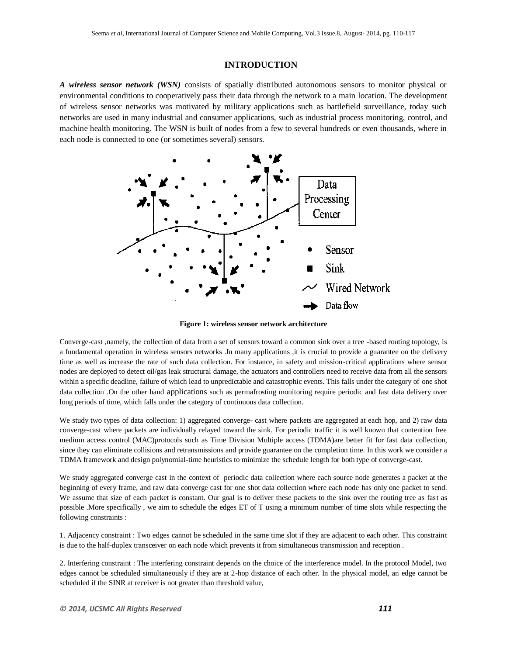### **INTRODUCTION**

*A wireless sensor network (WSN)* consists of spatially distributed autonomous sensors to monitor physical or environmental conditions to cooperatively pass their data through the network to a main location. The development of wireless sensor networks was motivated by military applications such as battlefield surveillance, today such networks are used in many industrial and consumer applications, such as industrial process monitoring, control, and machine health monitoring. The WSN is built of nodes from a few to several hundreds or even thousands, where in each node is connected to one (or sometimes several) sensors.



**Figure 1: wireless sensor network architecture**

Converge-cast ,namely, the collection of data from a set of sensors toward a common sink over a tree -based routing topology, is a fundamental operation in wireless sensors networks .In many applications ,it is crucial to provide a guarantee on the delivery time as well as increase the rate of such data collection. For instance, in safety and mission-critical applications where sensor nodes are deployed to detect oil/gas leak structural damage, the actuators and controllers need to receive data from all the sensors within a specific deadline, failure of which lead to unpredictable and catastrophic events. This falls under the category of one shot data collection .On the other hand applications such as permafrosting monitoring require periodic and fast data delivery over long periods of time, which falls under the category of continuous data collection.

We study two types of data collection: 1) aggregated converge- cast where packets are aggregated at each hop, and 2) raw data converge-cast where packets are individually relayed toward the sink. For periodic traffic it is well known that contention free medium access control (MAC)protocols such as Time Division Multiple access (TDMA)are better fit for fast data collection, since they can eliminate collisions and retransmissions and provide guarantee on the completion time. In this work we consider a TDMA framework and design polynomial-time heuristics to minimize the schedule length for both type of converge-cast.

We study aggregated converge cast in the context of periodic data collection where each source node generates a packet at the beginning of every frame, and raw data converge cast for one shot data collection where each node has only one packet to send. We assume that size of each packet is constant. Our goal is to deliver these packets to the sink over the routing tree as fast as possible .More specifically , we aim to schedule the edges ET of T using a minimum number of time slots while respecting the following constraints :

1. Adjacency constraint : Two edges cannot be scheduled in the same time slot if they are adjacent to each other. This constraint is due to the half-duplex transceiver on each node which prevents it from simultaneous transmission and reception .

2. Interfering constraint : The interfering constraint depends on the choice of the interference model. In the protocol Model, two edges cannot be scheduled simultaneously if they are at 2-hop distance of each other. In the physical model, an edge cannot be scheduled if the SINR at receiver is not greater than threshold value,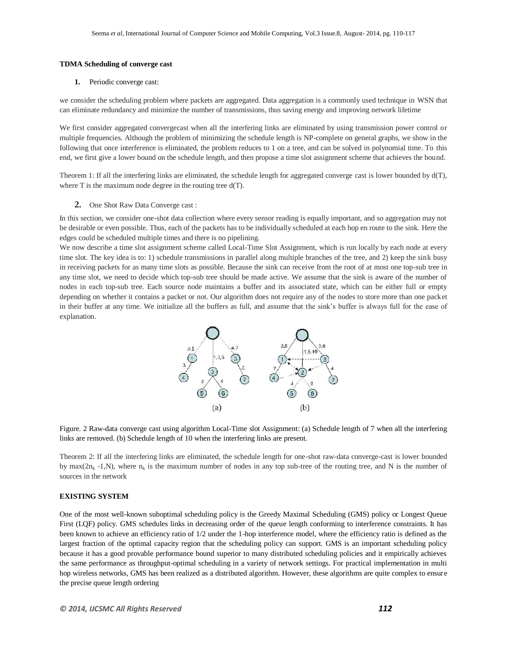#### **TDMA Scheduling of converge cast**

#### **1.** Periodic converge cast:

we consider the scheduling problem where packets are aggregated. Data aggregation is a commonly used technique in WSN that can eliminate redundancy and minimize the number of transmissions, thus saving energy and improving network lifetime

We first consider aggregated convergecast when all the interfering links are eliminated by using transmission power control or multiple frequencies. Although the problem of minimizing the schedule length is NP-complete on general graphs, we show in the following that once interference is eliminated, the problem reduces to 1 on a tree, and can be solved in polynomial time. To this end, we first give a lower bound on the schedule length, and then propose a time slot assignment scheme that achieves the bound.

Theorem 1: If all the interfering links are eliminated, the schedule length for aggregated converge cast is lower bounded by d(T), where T is the maximum node degree in the routing tree  $d(T)$ .

**2.** One Shot Raw Data Converge cast :

In this section, we consider one-shot data collection where every sensor reading is equally important, and so aggregation may not be desirable or even possible. Thus, each of the packets has to be individually scheduled at each hop en route to the sink. Here the edges could be scheduled multiple times and there is no pipelining.

We now describe a time slot assignment scheme called Local-Time Slot Assignment, which is run locally by each node at every time slot. The key idea is to: 1) schedule transmissions in parallel along multiple branches of the tree, and 2) keep the sink busy in receiving packets for as many time slots as possible. Because the sink can receive from the root of at most one top-sub tree in any time slot, we need to decide which top-sub tree should be made active. We assume that the sink is aware of the number of nodes in each top-sub tree. Each source node maintains a buffer and its associated state, which can be either full or empty depending on whether it contains a packet or not. Our algorithm does not require any of the nodes to store more than one packet in their buffer at any time. We initialize all the buffers as full, and assume that the sink's buffer is always full for the ease of explanation.



Figure. 2 Raw-data converge cast using algorithm Local-Time slot Assignment: (a) Schedule length of 7 when all the interfering links are removed. (b) Schedule length of 10 when the interfering links are present.

Theorem 2: If all the interfering links are eliminated, the schedule length for one-shot raw-data converge-cast is lower bounded by max( $2n_k -1$ , N), where  $n_k$  is the maximum number of nodes in any top sub-tree of the routing tree, and N is the number of sources in the network

#### **EXISTING SYSTEM**

One of the most well-known suboptimal scheduling policy is the Greedy Maximal Scheduling (GMS) policy or Longest Queue First (LQF) policy. GMS schedules links in decreasing order of the queue length conforming to interference constraints. It has been known to achieve an efficiency ratio of 1/2 under the 1-hop interference model, where the efficiency ratio is defined as the largest fraction of the optimal capacity region that the scheduling policy can support. GMS is an important scheduling policy because it has a good provable performance bound superior to many distributed scheduling policies and it empirically achieves the same performance as throughput-optimal scheduling in a variety of network settings. For practical implementation in multi hop wireless networks, GMS has been realized as a distributed algorithm. However, these algorithms are quite complex to ensure the precise queue length ordering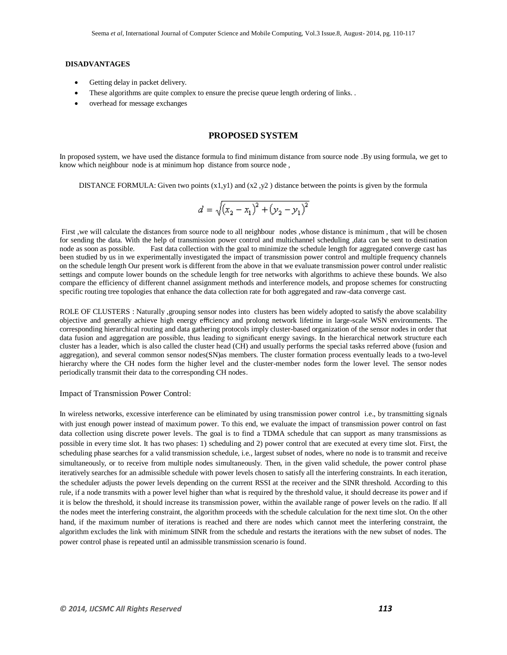#### **DISADVANTAGES**

- Getting delay in packet delivery.
- These algorithms are quite complex to ensure the precise queue length ordering of links. .
- overhead for message exchanges

### **PROPOSED SYSTEM**

In proposed system, we have used the distance formula to find minimum distance from source node .By using formula, we get to know which neighbour node is at minimum hop distance from source node ,

DISTANCE FORMULA: Given two points  $(x1,y1)$  and  $(x2,y2)$  distance between the points is given by the formula

$$
d = \sqrt{(x_2 - x_1)^2 + (y_2 - y_1)^2}
$$

First ,we will calculate the distances from source node to all neighbour nodes ,whose distance is minimum , that will be chosen for sending the data. With the help of transmission power control and multichannel scheduling ,data can be sent to destination node as soon as possible. Fast data collection with the goal to minimize the schedule length for aggregated converge cast has been studied by us in we experimentally investigated the impact of transmission power control and multiple frequency channels on the schedule length Our present work is different from the above in that we evaluate transmission power control under realistic settings and compute lower bounds on the schedule length for tree networks with algorithms to achieve these bounds. We also compare the efficiency of different channel assignment methods and interference models, and propose schemes for constructing specific routing tree topologies that enhance the data collection rate for both aggregated and raw-data converge cast.

ROLE OF CLUSTERS : Naturally ,grouping sensor nodes into clusters has been widely adopted to satisfy the above scalability objective and generally achieve high energy efficiency and prolong network lifetime in large-scale WSN environments. The corresponding hierarchical routing and data gathering protocols imply cluster-based organization of the sensor nodes in order that data fusion and aggregation are possible, thus leading to significant energy savings. In the hierarchical network structure each cluster has a leader, which is also called the cluster head (CH) and usually performs the special tasks referred above (fusion and aggregation), and several common sensor nodes(SN)as members. The cluster formation process eventually leads to a two-level hierarchy where the CH nodes form the higher level and the cluster-member nodes form the lower level. The sensor nodes periodically transmit their data to the corresponding CH nodes.

#### Impact of Transmission Power Control:

In wireless networks, excessive interference can be eliminated by using transmission power control i.e., by transmitting signals with just enough power instead of maximum power. To this end, we evaluate the impact of transmission power control on fast data collection using discrete power levels. The goal is to find a TDMA schedule that can support as many transmissions as possible in every time slot. It has two phases: 1) scheduling and 2) power control that are executed at every time slot. First, the scheduling phase searches for a valid transmission schedule, i.e., largest subset of nodes, where no node is to transmit and receive simultaneously, or to receive from multiple nodes simultaneously. Then, in the given valid schedule, the power control phase iteratively searches for an admissible schedule with power levels chosen to satisfy all the interfering constraints. In each iteration, the scheduler adjusts the power levels depending on the current RSSI at the receiver and the SINR threshold. According to this rule, if a node transmits with a power level higher than what is required by the threshold value, it should decrease its power and if it is below the threshold, it should increase its transmission power, within the available range of power levels on the radio. If all the nodes meet the interfering constraint, the algorithm proceeds with the schedule calculation for the next time slot. On the other hand, if the maximum number of iterations is reached and there are nodes which cannot meet the interfering constraint, the algorithm excludes the link with minimum SINR from the schedule and restarts the iterations with the new subset of nodes. The power control phase is repeated until an admissible transmission scenario is found.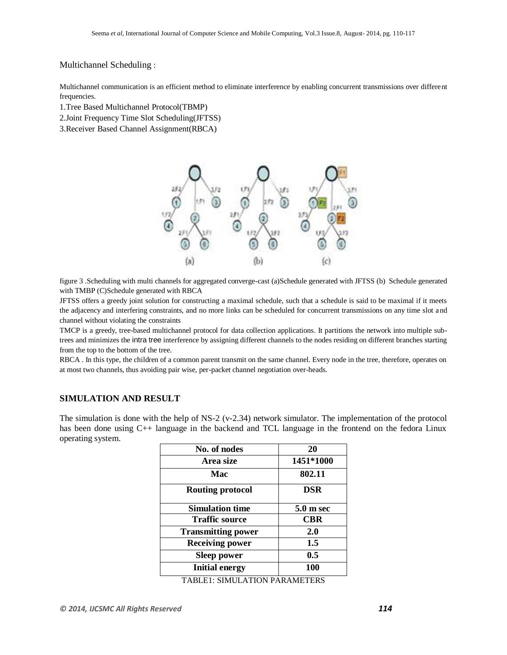## Multichannel Scheduling :

Multichannel communication is an efficient method to eliminate interference by enabling concurrent transmissions over different frequencies.

1.Tree Based Multichannel Protocol(TBMP)

2.Joint Frequency Time Slot Scheduling(JFTSS)

3.Receiver Based Channel Assignment(RBCA)



figure 3 .Scheduling with multi channels for aggregated converge-cast (a)Schedule generated with JFTSS (b) Schedule generated with TMBP (C)Schedule generated with RBCA

JFTSS offers a greedy joint solution for constructing a maximal schedule, such that a schedule is said to be maximal if it meets the adjacency and interfering constraints, and no more links can be scheduled for concurrent transmissions on any time slot and channel without violating the constraints

TMCP is a greedy, tree-based multichannel protocol for data collection applications. It partitions the network into multiple subtrees and minimizes the intra tree interference by assigning different channels to the nodes residing on different branches starting from the top to the bottom of the tree.

RBCA . In this type, the children of a common parent transmit on the same channel. Every node in the tree, therefore, operates on at most two channels, thus avoiding pair wise, per-packet channel negotiation over-heads.

## **SIMULATION AND RESULT**

The simulation is done with the help of NS-2 (v-2.34) network simulator. The implementation of the protocol has been done using C++ language in the backend and TCL language in the frontend on the fedora Linux operating system.

| No. of nodes              | 20         |
|---------------------------|------------|
| Area size                 | 1451*1000  |
| Mac                       | 802.11     |
| <b>Routing protocol</b>   | <b>DSR</b> |
| <b>Simulation time</b>    | 5.0 m sec  |
| <b>Traffic source</b>     | <b>CBR</b> |
| <b>Transmitting power</b> | 2.0        |
| <b>Receiving power</b>    | 1.5        |
| <b>Sleep power</b>        | 0.5        |
| <b>Initial energy</b>     | 100        |
|                           |            |

TABLE1: SIMULATION PARAMETERS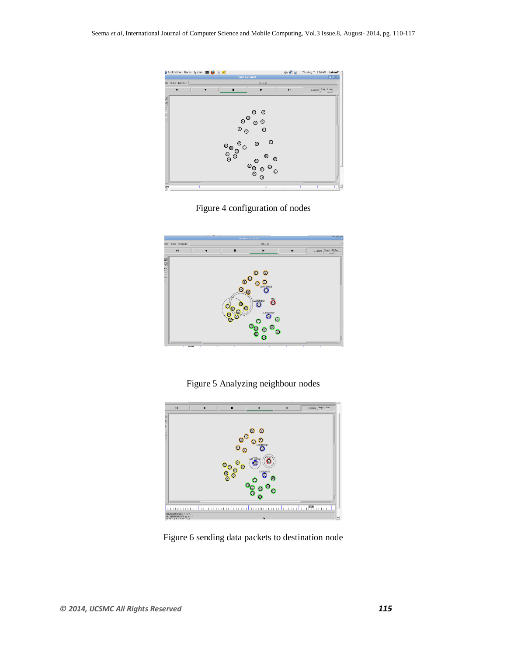

![](_page_5_Figure_2.jpeg)

![](_page_5_Figure_3.jpeg)

Figure 5 Analyzing neighbour nodes

![](_page_5_Figure_5.jpeg)

Figure 6 sending data packets to destination node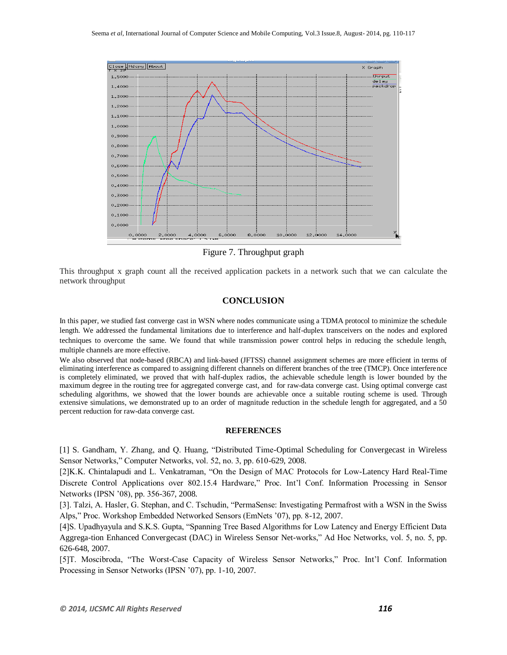![](_page_6_Figure_1.jpeg)

Figure 7. Throughput graph

This throughput x graph count all the received application packets in a network such that we can calculate the network throughput

## **CONCLUSION**

In this paper, we studied fast converge cast in WSN where nodes communicate using a TDMA protocol to minimize the schedule length. We addressed the fundamental limitations due to interference and half-duplex transceivers on the nodes and explored techniques to overcome the same. We found that while transmission power control helps in reducing the schedule length, multiple channels are more effective.

We also observed that node-based (RBCA) and link-based (JFTSS) channel assignment schemes are more efficient in terms of eliminating interference as compared to assigning different channels on different branches of the tree (TMCP). Once interference is completely eliminated, we proved that with half-duplex radios, the achievable schedule length is lower bounded by the maximum degree in the routing tree for aggregated converge cast, and for raw-data converge cast. Using optimal converge cast scheduling algorithms, we showed that the lower bounds are achievable once a suitable routing scheme is used. Through extensive simulations, we demonstrated up to an order of magnitude reduction in the schedule length for aggregated, and a 50 percent reduction for raw-data converge cast.

#### **REFERENCES**

[1] S. Gandham, Y. Zhang, and Q. Huang, "Distributed Time-Optimal Scheduling for Convergecast in Wireless Sensor Networks," Computer Networks, vol. 52, no. 3, pp. 610-629, 2008.

[2]K.K. Chintalapudi and L. Venkatraman, "On the Design of MAC Protocols for Low-Latency Hard Real-Time Discrete Control Applications over 802.15.4 Hardware," Proc. Int'l Conf. Information Processing in Sensor Networks (IPSN '08), pp. 356-367, 2008.

[3]. Talzi, A. Hasler, G. Stephan, and C. Tschudin, "PermaSense: Investigating Permafrost with a WSN in the Swiss Alps," Proc. Workshop Embedded Networked Sensors (EmNets '07), pp. 8-12, 2007.

[4]S. Upadhyayula and S.K.S. Gupta, "Spanning Tree Based Algorithms for Low Latency and Energy Efficient Data Aggrega-tion Enhanced Convergecast (DAC) in Wireless Sensor Net-works," Ad Hoc Networks, vol. 5, no. 5, pp. 626-648, 2007.

[5]T. Moscibroda, "The Worst-Case Capacity of Wireless Sensor Networks," Proc. Int'l Conf. Information Processing in Sensor Networks (IPSN '07), pp. 1-10, 2007.